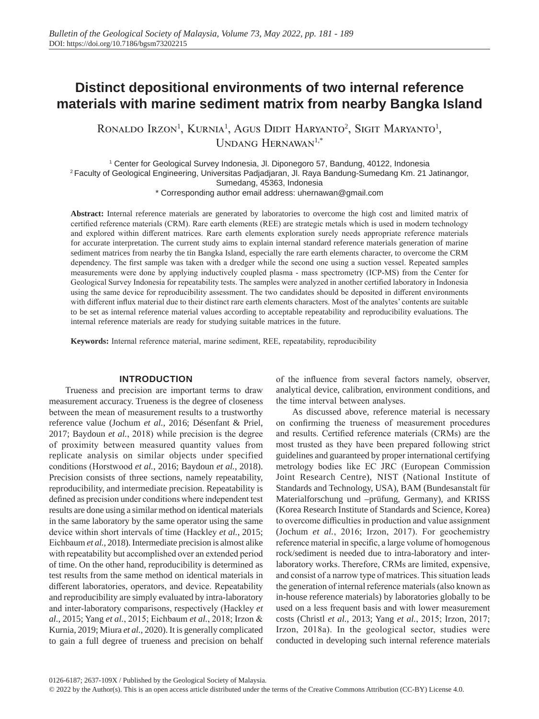# **Distinct depositional environments of two internal reference materials with marine sediment matrix from nearby Bangka Island**

Ronaldo Irzon<sup>1</sup>, Kurnia<sup>1</sup>, Agus Didit Haryanto<sup>2</sup>, Sigit Maryanto<sup>1</sup>, UNDANG HERNAWAN<sup>1,\*</sup>

1 Center for Geological Survey Indonesia, Jl. Diponegoro 57, Bandung, 40122, Indonesia 2 Faculty of Geological Engineering, Universitas Padjadjaran, Jl. Raya Bandung-Sumedang Km. 21 Jatinangor, Sumedang, 45363, Indonesia

\* Corresponding author email address: uhernawan@gmail.com

**Abstract:** Internal reference materials are generated by laboratories to overcome the high cost and limited matrix of certified reference materials (CRM). Rare earth elements (REE) are strategic metals which is used in modern technology and explored within different matrices. Rare earth elements exploration surely needs appropriate reference materials for accurate interpretation. The current study aims to explain internal standard reference materials generation of marine sediment matrices from nearby the tin Bangka Island, especially the rare earth elements character, to overcome the CRM dependency. The first sample was taken with a dredger while the second one using a suction vessel. Repeated samples measurements were done by applying inductively coupled plasma - mass spectrometry (ICP-MS) from the Center for Geological Survey Indonesia for repeatability tests. The samples were analyzed in another certified laboratory in Indonesia using the same device for reproducibility assessment. The two candidates should be deposited in different environments with different influx material due to their distinct rare earth elements characters. Most of the analytes' contents are suitable to be set as internal reference material values according to acceptable repeatability and reproducibility evaluations. The internal reference materials are ready for studying suitable matrices in the future.

**Keywords:** Internal reference material, marine sediment, REE, repeatability, reproducibility

## **INTRODUCTION**

Trueness and precision are important terms to draw measurement accuracy. Trueness is the degree of closeness between the mean of measurement results to a trustworthy reference value (Jochum *et al.*, 2016; Désenfant & Priel, 2017; Baydoun *et al.*, 2018) while precision is the degree of proximity between measured quantity values from replicate analysis on similar objects under specified conditions (Horstwood *et al.*, 2016; Baydoun *et al.*, 2018). Precision consists of three sections, namely repeatability, reproducibility, and intermediate precision. Repeatability is defined as precision under conditions where independent test results are done using a similar method on identical materials in the same laboratory by the same operator using the same device within short intervals of time (Hackley *et al.*, 2015; Eichbaum *et al.*, 2018). Intermediate precision is almost alike with repeatability but accomplished over an extended period of time. On the other hand, reproducibility is determined as test results from the same method on identical materials in different laboratories, operators, and device. Repeatability and reproducibility are simply evaluated by intra-laboratory and inter-laboratory comparisons, respectively (Hackley *et al.*, 2015; Yang *et al.*, 2015; Eichbaum *et al.*, 2018; Irzon & Kurnia, 2019; Miura *et al.*, 2020). It is generally complicated to gain a full degree of trueness and precision on behalf of the influence from several factors namely, observer, analytical device, calibration, environment conditions, and the time interval between analyses.

As discussed above, reference material is necessary on confirming the trueness of measurement procedures and results. Certified reference materials (CRMs) are the most trusted as they have been prepared following strict guidelines and guaranteed by proper international certifying metrology bodies like EC JRC (European Commission Joint Research Centre), NIST (National Institute of Standards and Technology, USA), BAM (Bundesanstalt für Materialforschung und –prüfung, Germany), and KRISS (Korea Research Institute of Standards and Science, Korea) to overcome difficulties in production and value assignment (Jochum *et al.*, 2016; Irzon, 2017). For geochemistry reference material in specific, a large volume of homogenous rock/sediment is needed due to intra-laboratory and interlaboratory works. Therefore, CRMs are limited, expensive, and consist of a narrow type of matrices. This situation leads the generation of internal reference materials (also known as in-house reference materials) by laboratories globally to be used on a less frequent basis and with lower measurement costs (Christl *et al.*, 2013; Yang *et al.*, 2015; Irzon, 2017; Irzon, 2018a). In the geological sector, studies were conducted in developing such internal reference materials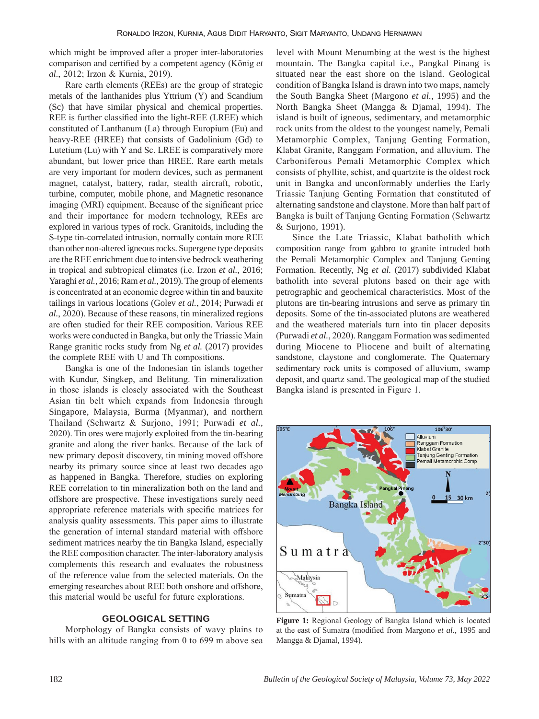which might be improved after a proper inter-laboratories comparison and certified by a competent agency (König *et al.*, 2012; Irzon & Kurnia, 2019).

Rare earth elements (REEs) are the group of strategic metals of the lanthanides plus Yttrium (Y) and Scandium (Sc) that have similar physical and chemical properties. REE is further classified into the light-REE (LREE) which constituted of Lanthanum (La) through Europium (Eu) and heavy-REE (HREE) that consists of Gadolinium (Gd) to Lutetium (Lu) with Y and Sc. LREE is comparatively more abundant, but lower price than HREE. Rare earth metals are very important for modern devices, such as permanent magnet, catalyst, battery, radar, stealth aircraft, robotic, turbine, computer, mobile phone, and Magnetic resonance imaging (MRI) equipment. Because of the significant price and their importance for modern technology, REEs are explored in various types of rock. Granitoids, including the S-type tin-correlated intrusion, normally contain more REE than other non-altered igneous rocks. Supergene type deposits are the REE enrichment due to intensive bedrock weathering in tropical and subtropical climates (i.e. Irzon *et al.*, 2016; Yaraghi *et al.*, 2016; Ram *et al.*, 2019). The group of elements is concentrated at an economic degree within tin and bauxite tailings in various locations (Golev *et al.*, 2014; Purwadi *et al.*, 2020). Because of these reasons, tin mineralized regions are often studied for their REE composition. Various REE works were conducted in Bangka, but only the Triassic Main Range granitic rocks study from Ng *et al.* (2017) provides the complete REE with U and Th compositions.

Bangka is one of the Indonesian tin islands together with Kundur, Singkep, and Belitung. Tin mineralization in those islands is closely associated with the Southeast Asian tin belt which expands from Indonesia through Singapore, Malaysia, Burma (Myanmar), and northern Thailand (Schwartz & Surjono, 1991; Purwadi *et al.*, 2020). Tin ores were majorly exploited from the tin-bearing granite and along the river banks. Because of the lack of new primary deposit discovery, tin mining moved offshore nearby its primary source since at least two decades ago as happened in Bangka. Therefore, studies on exploring REE correlation to tin mineralization both on the land and offshore are prospective. These investigations surely need appropriate reference materials with specific matrices for analysis quality assessments. This paper aims to illustrate the generation of internal standard material with offshore sediment matrices nearby the tin Bangka Island, especially the REE composition character. The inter-laboratory analysis complements this research and evaluates the robustness of the reference value from the selected materials. On the emerging researches about REE both onshore and offshore, this material would be useful for future explorations.

## **GEOLOGICAL SETTING**

Morphology of Bangka consists of wavy plains to hills with an altitude ranging from 0 to 699 m above sea level with Mount Menumbing at the west is the highest mountain. The Bangka capital i.e., Pangkal Pinang is situated near the east shore on the island. Geological condition of Bangka Island is drawn into two maps, namely the South Bangka Sheet (Margono *et al.*, 1995) and the North Bangka Sheet (Mangga & Djamal, 1994). The island is built of igneous, sedimentary, and metamorphic rock units from the oldest to the youngest namely, Pemali Metamorphic Complex, Tanjung Genting Formation, Klabat Granite, Ranggam Formation, and alluvium. The Carboniferous Pemali Metamorphic Complex which consists of phyllite, schist, and quartzite is the oldest rock unit in Bangka and unconformably underlies the Early Triassic Tanjung Genting Formation that constituted of alternating sandstone and claystone. More than half part of Bangka is built of Tanjung Genting Formation (Schwartz & Surjono, 1991).

Since the Late Triassic, Klabat batholith which composition range from gabbro to granite intruded both the Pemali Metamorphic Complex and Tanjung Genting Formation. Recently, Ng *et al.* (2017) subdivided Klabat batholith into several plutons based on their age with petrographic and geochemical characteristics. Most of the plutons are tin-bearing intrusions and serve as primary tin deposits. Some of the tin-associated plutons are weathered and the weathered materials turn into tin placer deposits (Purwadi *et al.*, 2020). Ranggam Formation was sedimented during Miocene to Pliocene and built of alternating sandstone, claystone and conglomerate. The Quaternary sedimentary rock units is composed of alluvium, swamp deposit, and quartz sand. The geological map of the studied Bangka island is presented in Figure 1.



**Figure 1:** Regional Geology of Bangka Island which is located at the east of Sumatra (modified from Margono *et al*., 1995 and Mangga & Djamal, 1994).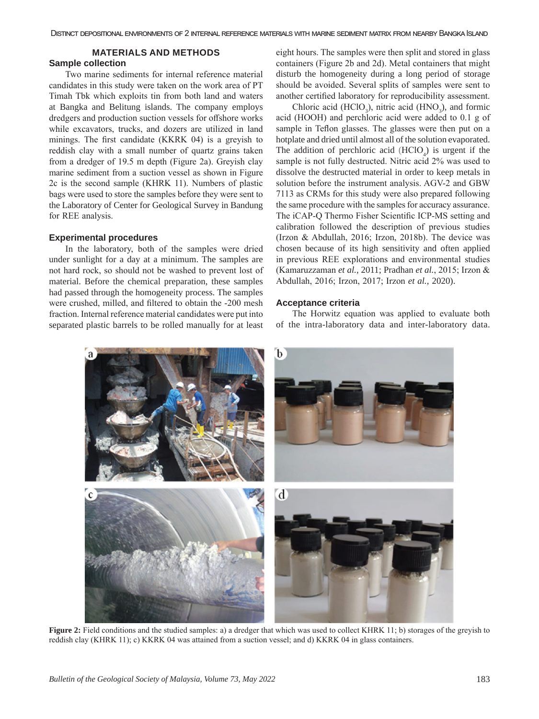### **MATERIALS AND METHODS**

## **Sample collection**

Two marine sediments for internal reference material candidates in this study were taken on the work area of PT Timah Tbk which exploits tin from both land and waters at Bangka and Belitung islands. The company employs dredgers and production suction vessels for offshore works while excavators, trucks, and dozers are utilized in land minings. The first candidate (KKRK 04) is a greyish to reddish clay with a small number of quartz grains taken from a dredger of 19.5 m depth (Figure 2a). Greyish clay marine sediment from a suction vessel as shown in Figure 2c is the second sample (KHRK 11). Numbers of plastic bags were used to store the samples before they were sent to the Laboratory of Center for Geological Survey in Bandung for REE analysis.

#### **Experimental procedures**

In the laboratory, both of the samples were dried under sunlight for a day at a minimum. The samples are not hard rock, so should not be washed to prevent lost of material. Before the chemical preparation, these samples had passed through the homogeneity process. The samples were crushed, milled, and filtered to obtain the -200 mesh fraction. Internal reference material candidates were put into separated plastic barrels to be rolled manually for at least eight hours. The samples were then split and stored in glass containers (Figure 2b and 2d). Metal containers that might disturb the homogeneity during a long period of storage should be avoided. Several splits of samples were sent to another certified laboratory for reproducibility assessment.

Chloric acid (HClO<sub>3</sub>), nitric acid (HNO<sub>3</sub>), and formic acid (HOOH) and perchloric acid were added to 0.1 g of sample in Teflon glasses. The glasses were then put on a hotplate and dried until almost all of the solution evaporated. The addition of perchloric acid  $(HClO<sub>4</sub>)$  is urgent if the sample is not fully destructed. Nitric acid 2% was used to dissolve the destructed material in order to keep metals in solution before the instrument analysis. AGV-2 and GBW 7113 as CRMs for this study were also prepared following the same procedure with the samples for accuracy assurance. The iCAP-Q Thermo Fisher Scientific ICP-MS setting and calibration followed the description of previous studies (Irzon & Abdullah, 2016; Irzon, 2018b). The device was chosen because of its high sensitivity and often applied in previous REE explorations and environmental studies (Kamaruzzaman *et al.*, 2011; Pradhan *et al.*, 2015; Irzon & Abdullah, 2016; Irzon, 2017; Irzon *et al.*, 2020).

#### **Acceptance criteria**

The Horwitz equation was applied to evaluate both of the intra-laboratory data and inter-laboratory data.



**Figure 2:** Field conditions and the studied samples: a) a dredger that which was used to collect KHRK 11; b) storages of the greyish to reddish clay (KHRK 11); c) KKRK 04 was attained from a suction vessel; and d) KKRK 04 in glass containers.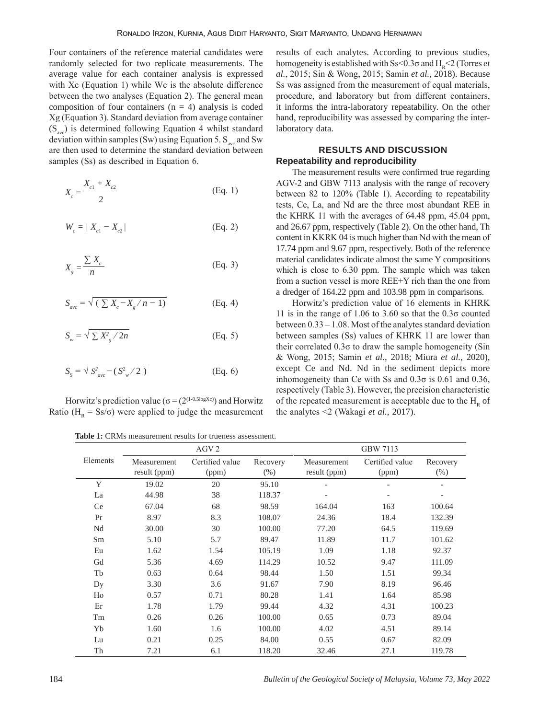Four containers of the reference material candidates were randomly selected for two replicate measurements. The average value for each container analysis is expressed with Xc (Equation 1) while Wc is the absolute difference between the two analyses (Equation 2). The general mean composition of four containers  $(n = 4)$  analysis is coded Xg (Equation 3). Standard deviation from average container  $(S_{avc})$  is determined following Equation 4 whilst standard deviation within samples (Sw) using Equation 5.  $S_{\text{av}}$  and Sw are then used to determine the standard deviation between samples (Ss) as described in Equation 6.

$$
X_c = \frac{X_{c1} + X_{c2}}{2}
$$
 (Eq. 1)

$$
W_c = |X_{c1} - X_{c2}|
$$
 (Eq. 2)

$$
X_g = \frac{\sum X_c}{n}
$$
 (Eq. 3)

$$
S_{ave} = \sqrt{(\sum X_c - X_g / n - 1)}
$$
 (Eq. 4)

$$
S_w = \sqrt{\sum X_g^2 / 2n}
$$
 (Eq. 5)

$$
S_{s} = \sqrt{S_{ave}^{2} - (S_{w}^{2} / 2)}
$$
 (Eq. 6)

Horwitz's prediction value ( $\sigma = (2^{(1-0.5\log Xc)})$  and Horwitz Ratio ( $H<sub>R</sub> = Ss/\sigma$ ) were applied to judge the measurement

results of each analytes. According to previous studies, homogeneity is established with  $S_s < 0.3\sigma$  and  $H_p < 2$  (Torres *et al.*, 2015; Sin & Wong, 2015; Samin *et al.*, 2018). Because Ss was assigned from the measurement of equal materials, procedure, and laboratory but from different containers, it informs the intra-laboratory repeatability. On the other hand, reproducibility was assessed by comparing the interlaboratory data.

# **RESULTS AND DISCUSSION Repeatability and reproducibility**

The measurement results were confirmed true regarding AGV-2 and GBW 7113 analysis with the range of recovery between 82 to 120% (Table 1). According to repeatability tests, Ce, La, and Nd are the three most abundant REE in the KHRK 11 with the averages of 64.48 ppm, 45.04 ppm, and 26.67 ppm, respectively (Table 2). On the other hand, Th content in KKRK 04 is much higher than Nd with the mean of 17.74 ppm and 9.67 ppm, respectively. Both of the reference material candidates indicate almost the same Y compositions which is close to 6.30 ppm. The sample which was taken from a suction vessel is more REE+Y rich than the one from a dredger of 164.22 ppm and 103.98 ppm in comparisons.

Horwitz's prediction value of 16 elements in KHRK 11 is in the range of 1.06 to 3.60 so that the  $0.3\sigma$  counted between 0.33 – 1.08. Most of the analytes standard deviation between samples (Ss) values of KHRK 11 are lower than their correlated 0.3σ to draw the sample homogeneity (Sin & Wong, 2015; Samin *et al.*, 2018; Miura *et al.*, 2020), except Ce and Nd. Nd in the sediment depicts more inhomogeneity than Ce with Ss and 0.3σ is 0.61 and 0.36, respectively (Table 3). However, the precision characteristic of the repeated measurement is acceptable due to the  $H<sub>R</sub>$  of the analytes <2 (Wakagi *et al.*, 2017).

**Table 1:** CRMs measurement results for trueness assessment.

|          |                             | AGV <sub>2</sub>         |                  |                             | GBW 7113                 |                     |
|----------|-----------------------------|--------------------------|------------------|-----------------------------|--------------------------|---------------------|
| Elements | Measurement<br>result (ppm) | Certified value<br>(ppm) | Recovery<br>(% ) | Measurement<br>result (ppm) | Certified value<br>(ppm) | Recovery<br>$(\% )$ |
| Y        | 19.02                       | 20                       | 95.10            |                             |                          | $\qquad \qquad -$   |
| La       | 44.98                       | 38                       | 118.37           |                             | $\qquad \qquad -$        | $\qquad \qquad -$   |
| Ce       | 67.04                       | 68                       | 98.59            | 164.04                      | 163                      | 100.64              |
| Pr       | 8.97                        | 8.3                      | 108.07           | 24.36                       | 18.4                     | 132.39              |
| Nd       | 30.00                       | 30                       | 100.00           | 77.20                       | 64.5                     | 119.69              |
| Sm       | 5.10                        | 5.7                      | 89.47            | 11.89                       | 11.7                     | 101.62              |
| Eu       | 1.62                        | 1.54                     | 105.19           | 1.09                        | 1.18                     | 92.37               |
| Gd       | 5.36                        | 4.69                     | 114.29           | 10.52                       | 9.47                     | 111.09              |
| Tb       | 0.63                        | 0.64                     | 98.44            | 1.50                        | 1.51                     | 99.34               |
| Dy       | 3.30                        | 3.6                      | 91.67            | 7.90                        | 8.19                     | 96.46               |
| Ho       | 0.57                        | 0.71                     | 80.28            | 1.41                        | 1.64                     | 85.98               |
| Er       | 1.78                        | 1.79                     | 99.44            | 4.32                        | 4.31                     | 100.23              |
| Tm       | 0.26                        | 0.26                     | 100.00           | 0.65                        | 0.73                     | 89.04               |
| Yb       | 1.60                        | 1.6                      | 100.00           | 4.02                        | 4.51                     | 89.14               |
| Lu       | 0.21                        | 0.25                     | 84.00            | 0.55                        | 0.67                     | 82.09               |
| Th       | 7.21                        | 6.1                      | 118.20           | 32.46                       | 27.1                     | 119.78              |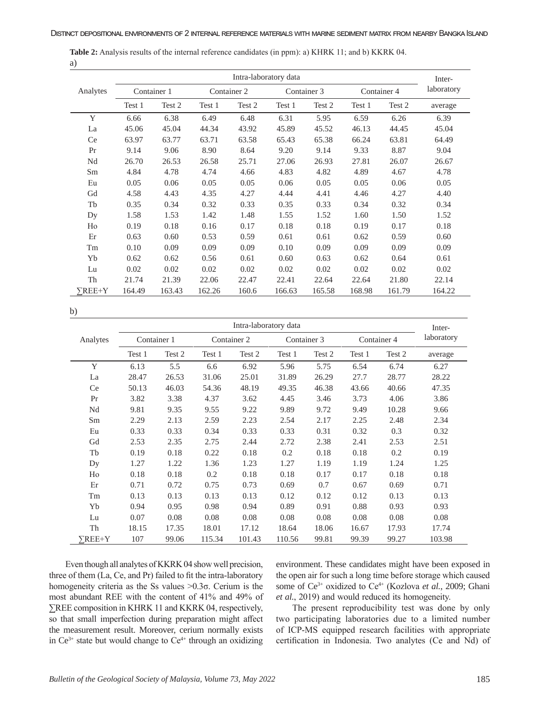|              |             |        | Inter- |             |        |             |        |             |            |
|--------------|-------------|--------|--------|-------------|--------|-------------|--------|-------------|------------|
| Analytes     | Container 1 |        |        | Container 2 |        | Container 3 |        | Container 4 | laboratory |
|              | Test 1      | Test 2 | Test 1 | Test 2      | Test 1 | Test 2      | Test 1 | Test 2      | average    |
| Y            | 6.66        | 6.38   | 6.49   | 6.48        | 6.31   | 5.95        | 6.59   | 6.26        | 6.39       |
| La           | 45.06       | 45.04  | 44.34  | 43.92       | 45.89  | 45.52       | 46.13  | 44.45       | 45.04      |
| Ce           | 63.97       | 63.77  | 63.71  | 63.58       | 65.43  | 65.38       | 66.24  | 63.81       | 64.49      |
| Pr           | 9.14        | 9.06   | 8.90   | 8.64        | 9.20   | 9.14        | 9.33   | 8.87        | 9.04       |
| Nd           | 26.70       | 26.53  | 26.58  | 25.71       | 27.06  | 26.93       | 27.81  | 26.07       | 26.67      |
| Sm           | 4.84        | 4.78   | 4.74   | 4.66        | 4.83   | 4.82        | 4.89   | 4.67        | 4.78       |
| Eu           | 0.05        | 0.06   | 0.05   | 0.05        | 0.06   | 0.05        | 0.05   | 0.06        | 0.05       |
| Gd           | 4.58        | 4.43   | 4.35   | 4.27        | 4.44   | 4.41        | 4.46   | 4.27        | 4.40       |
| Tb           | 0.35        | 0.34   | 0.32   | 0.33        | 0.35   | 0.33        | 0.34   | 0.32        | 0.34       |
| Dy           | 1.58        | 1.53   | 1.42   | 1.48        | 1.55   | 1.52        | 1.60   | 1.50        | 1.52       |
| Ho           | 0.19        | 0.18   | 0.16   | 0.17        | 0.18   | 0.18        | 0.19   | 0.17        | 0.18       |
| Er           | 0.63        | 0.60   | 0.53   | 0.59        | 0.61   | 0.61        | 0.62   | 0.59        | 0.60       |
| Tm           | 0.10        | 0.09   | 0.09   | 0.09        | 0.10   | 0.09        | 0.09   | 0.09        | 0.09       |
| Yb           | 0.62        | 0.62   | 0.56   | 0.61        | 0.60   | 0.63        | 0.62   | 0.64        | 0.61       |
| Lu           | 0.02        | 0.02   | 0.02   | 0.02        | 0.02   | 0.02        | 0.02   | 0.02        | 0.02       |
| Th           | 21.74       | 21.39  | 22.06  | 22.47       | 22.41  | 22.64       | 22.64  | 21.80       | 22.14      |
| $\sum$ REE+Y | 164.49      | 163.43 | 162.26 | 160.6       | 166.63 | 165.58      | 168.98 | 161.79      | 164.22     |

| <b>Table 2:</b> Analysis results of the internal reference candidates (in ppm): a) KHRK 11; and b) KKRK 04. |  |  |  |  |
|-------------------------------------------------------------------------------------------------------------|--|--|--|--|
| a)                                                                                                          |  |  |  |  |

b)

|              | Intra-laboratory data |             |        |             |             |        |        |             |            |  |  |  |
|--------------|-----------------------|-------------|--------|-------------|-------------|--------|--------|-------------|------------|--|--|--|
| Analytes     |                       | Container 1 |        | Container 2 | Container 3 |        |        | Container 4 | laboratory |  |  |  |
|              | Test 1                | Test 2      | Test 1 | Test 2      | Test 1      | Test 2 | Test 1 | Test 2      | average    |  |  |  |
| Y            | 6.13                  | 5.5         | 6.6    | 6.92        | 5.96        | 5.75   | 6.54   | 6.74        | 6.27       |  |  |  |
| La           | 28.47                 | 26.53       | 31.06  | 25.01       | 31.89       | 26.29  | 27.7   | 28.77       | 28.22      |  |  |  |
| <b>Ce</b>    | 50.13                 | 46.03       | 54.36  | 48.19       | 49.35       | 46.38  | 43.66  | 40.66       | 47.35      |  |  |  |
| Pr           | 3.82                  | 3.38        | 4.37   | 3.62        | 4.45        | 3.46   | 3.73   | 4.06        | 3.86       |  |  |  |
| Nd           | 9.81                  | 9.35        | 9.55   | 9.22        | 9.89        | 9.72   | 9.49   | 10.28       | 9.66       |  |  |  |
| Sm           | 2.29                  | 2.13        | 2.59   | 2.23        | 2.54        | 2.17   | 2.25   | 2.48        | 2.34       |  |  |  |
| Eu           | 0.33                  | 0.33        | 0.34   | 0.33        | 0.33        | 0.31   | 0.32   | 0.3         | 0.32       |  |  |  |
| Gd           | 2.53                  | 2.35        | 2.75   | 2.44        | 2.72        | 2.38   | 2.41   | 2.53        | 2.51       |  |  |  |
| Tb           | 0.19                  | 0.18        | 0.22   | 0.18        | 0.2         | 0.18   | 0.18   | 0.2         | 0.19       |  |  |  |
| Dy           | 1.27                  | 1.22        | 1.36   | 1.23        | 1.27        | 1.19   | 1.19   | 1.24        | 1.25       |  |  |  |
| Ho           | 0.18                  | 0.18        | 0.2    | 0.18        | 0.18        | 0.17   | 0.17   | 0.18        | 0.18       |  |  |  |
| Er           | 0.71                  | 0.72        | 0.75   | 0.73        | 0.69        | 0.7    | 0.67   | 0.69        | 0.71       |  |  |  |
| Tm           | 0.13                  | 0.13        | 0.13   | 0.13        | 0.12        | 0.12   | 0.12   | 0.13        | 0.13       |  |  |  |
| Yb           | 0.94                  | 0.95        | 0.98   | 0.94        | 0.89        | 0.91   | 0.88   | 0.93        | 0.93       |  |  |  |
| Lu           | 0.07                  | 0.08        | 0.08   | 0.08        | 0.08        | 0.08   | 0.08   | 0.08        | 0.08       |  |  |  |
| Th           | 18.15                 | 17.35       | 18.01  | 17.12       | 18.64       | 18.06  | 16.67  | 17.93       | 17.74      |  |  |  |
| $\sum$ REE+Y | 107                   | 99.06       | 115.34 | 101.43      | 110.56      | 99.81  | 99.39  | 99.27       | 103.98     |  |  |  |

Even though all analytes of KKRK 04 show well precision, three of them (La, Ce, and Pr) failed to fit the intra-laboratory homogeneity criteria as the Ss values >0.3σ. Cerium is the most abundant REE with the content of 41% and 49% of ∑REE composition in KHRK 11 and KKRK 04, respectively, so that small imperfection during preparation might affect the measurement result. Moreover, cerium normally exists in  $Ce^{3+}$  state but would change to  $Ce^{4+}$  through an oxidizing environment. These candidates might have been exposed in the open air for such a long time before storage which caused some of Ce<sup>3+</sup> oxidized to Ce<sup>4+</sup> (Kozlova et al., 2009; Ghani *et al.*, 2019) and would reduced its homogeneity.

The present reproducibility test was done by only two participating laboratories due to a limited number of ICP-MS equipped research facilities with appropriate certification in Indonesia. Two analytes (Ce and Nd) of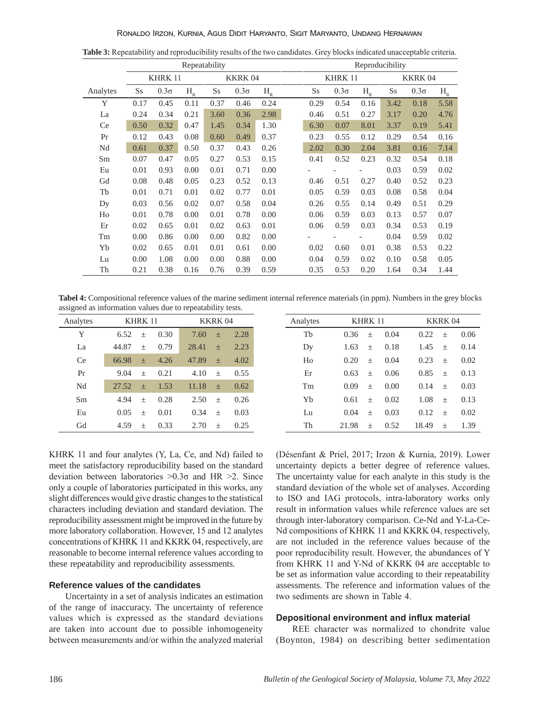|          |           |             | Repeatability |         |               |       | Reproducibility          |                   |       |               |             |                     |  |  |
|----------|-----------|-------------|---------------|---------|---------------|-------|--------------------------|-------------------|-------|---------------|-------------|---------------------|--|--|
|          |           | KHRK 11     |               |         | <b>KKRK04</b> |       |                          | KHRK 11           |       | <b>KKRK04</b> |             |                     |  |  |
| Analytes | <b>Ss</b> | $0.3\sigma$ | $H_R$         | $S_{S}$ | $0.3\sigma$   | $H_R$ | $S_{S}$                  | $0.3\sigma$       | $H_R$ | <b>Ss</b>     | $0.3\sigma$ | $H_R^{\phantom{A}}$ |  |  |
| Y        | 0.17      | 0.45        | 0.11          | 0.37    | 0.46          | 0.24  | 0.29                     | 0.54              | 0.16  | 3.42          | 0.18        | 5.58                |  |  |
| La       | 0.24      | 0.34        | 0.21          | 3.60    | 0.36          | 2.98  | 0.46                     | 0.51              | 0.27  | 3.17          | 0.20        | 4.76                |  |  |
| Ce       | 0.50      | 0.32        | 0.47          | 1.45    | 0.34          | 1.30  | 6.30                     | 0.07              | 8.01  | 3.37          | 0.19        | 5.41                |  |  |
| Pr       | 0.12      | 0.43        | 0.08          | 0.60    | 0.49          | 0.37  | 0.23                     | 0.55              | 0.12  | 0.29          | 0.54        | 0.16                |  |  |
| Nd       | 0.61      | 0.37        | 0.50          | 0.37    | 0.43          | 0.26  | 2.02                     | 0.30              | 2.04  | 3.81          | 0.16        | 7.14                |  |  |
| Sm       | 0.07      | 0.47        | 0.05          | 0.27    | 0.53          | 0.15  | 0.41                     | 0.52              | 0.23  | 0.32          | 0.54        | 0.18                |  |  |
| Eu       | 0.01      | 0.93        | 0.00          | 0.01    | 0.71          | 0.00  |                          |                   |       | 0.03          | 0.59        | 0.02                |  |  |
| Gd       | 0.08      | 0.48        | 0.05          | 0.23    | 0.52          | 0.13  | 0.46                     | 0.51              | 0.27  | 0.40          | 0.52        | 0.23                |  |  |
| Tb       | 0.01      | 0.71        | 0.01          | 0.02    | 0.77          | 0.01  | 0.05                     | 0.59              | 0.03  | 0.08          | 0.58        | 0.04                |  |  |
| Dy       | 0.03      | 0.56        | 0.02          | 0.07    | 0.58          | 0.04  | 0.26                     | 0.55              | 0.14  | 0.49          | 0.51        | 0.29                |  |  |
| Ho       | 0.01      | 0.78        | 0.00          | 0.01    | 0.78          | 0.00  | 0.06                     | 0.59              | 0.03  | 0.13          | 0.57        | 0.07                |  |  |
| Er       | 0.02      | 0.65        | 0.01          | 0.02    | 0.63          | 0.01  | 0.06                     | 0.59              | 0.03  | 0.34          | 0.53        | 0.19                |  |  |
| Tm       | 0.00      | 0.86        | 0.00          | 0.00    | 0.82          | 0.00  | $\overline{\phantom{a}}$ | $\qquad \qquad -$ |       | 0.04          | 0.59        | 0.02                |  |  |
| Yb       | 0.02      | 0.65        | 0.01          | 0.01    | 0.61          | 0.00  | 0.02                     | 0.60              | 0.01  | 0.38          | 0.53        | 0.22                |  |  |
| Lu       | 0.00      | 1.08        | 0.00          | 0.00    | 0.88          | 0.00  | 0.04                     | 0.59              | 0.02  | 0.10          | 0.58        | 0.05                |  |  |
| Th       | 0.21      | 0.38        | 0.16          | 0.76    | 0.39          | 0.59  | 0.35                     | 0.53              | 0.20  | 1.64          | 0.34        | 1.44                |  |  |

**Table 3:** Repeatability and reproducibility results of the two candidates. Grey blocks indicated unacceptable criteria.

**Tabel 4:** Compositional reference values of the marine sediment internal reference materials (in ppm). Numbers in the grey blocks assigned as information values due to repeatability tests.

| Analytes  |       | KHRK 11 |      | KKRK 04 |        |      | Analytes | KHRK 11 |         |      | <b>KKRK04</b> |       |  |
|-----------|-------|---------|------|---------|--------|------|----------|---------|---------|------|---------------|-------|--|
| Y         | 6.52  | $+$     | 0.30 | 7.60    | $+$    | 2.28 | Tb       | 0.36    | $+$     | 0.04 | 0.22          | $+$   |  |
| La        | 44.87 | $+$     | 0.79 | 28.41   | $+$    | 2.23 | Dy       | 1.63    | $+$     | 0.18 | 1.45          | $\pm$ |  |
| <b>Ce</b> | 66.98 | $+$     | 4.26 | 47.89   | 土      | 4.02 | Ho       | 0.20    | $+$     | 0.04 | 0.23          | $+$   |  |
| Pr        | 9.04  | $+$     | 0.21 | 4.10    | $+$    | 0.55 | Er       | 0.63    | $\!+\!$ | 0.06 | 0.85          | $+$   |  |
| Nd        | 27.52 | $+$     | 1.53 | 11.18   | $+$    | 0.62 | Tm       | 0.09    | $+$     | 0.00 | 0.14          | $+$   |  |
| Sm        | 4.94  | $+$     | 0.28 | 2.50    | $+$    | 0.26 | Yb       | 0.61    | $+$     | 0.02 | 1.08          | $+$   |  |
| Eu        | 0.05  | $+$     | 0.01 | 0.34    | $\,$ + | 0.03 | Lu       | 0.04    | $\!+\!$ | 0.03 | 0.12          | $+$   |  |
| Gd        | 4.59  | $+$     | 0.33 | 2.70    | $+$    | 0.25 | Th       | 21.98   | $+$     | 0.52 | 18.49         | $+$   |  |

| <b>l</b> ytes | KHRK 11     |       |      | KKRK 04 |       |      | KHRK 11<br>Analytes |       |       |      | <b>KKRK04</b> |                  |      |  |
|---------------|-------------|-------|------|---------|-------|------|---------------------|-------|-------|------|---------------|------------------|------|--|
| Y             | 6.52        | $+$   | 0.30 | 7.60    | $+$   | 2.28 | Tb                  | 0.36  | $\pm$ | 0.04 | 0.22          | $\!+\!$          | 0.06 |  |
| La            | 44.87       | $+$   | 0.79 | 28.41   | $\pm$ | 2.23 | Dy                  | 1.63  | $\pm$ | 0.18 | 1.45          | $\pm$            | 0.14 |  |
| Ce            | $66.98 \pm$ |       | 4.26 | 47.89   | $+$   | 4.02 | Ho                  | 0.20  | $+$   | 0.04 | 0.23          | $+$              | 0.02 |  |
| Pr            | 9.04        | $+$   | 0.21 | 4.10    | $+$   | 0.55 | Er                  | 0.63  | $+$   | 0.06 | 0.85          | $+$              | 0.13 |  |
| Nd            | 27.52       | $+$   | 1.53 | 11.18   | $\pm$ | 0.62 | Tm                  | 0.09  | $+$   | 0.00 | 0.14          | $\! +$           | 0.03 |  |
| Sm            | 4.94        | $+$   | 0.28 | 2.50    | $+$   | 0.26 | Yb                  | 0.61  | $+$   | 0.02 | 1.08          | $\boldsymbol{+}$ | 0.13 |  |
| Eu            | 0.05        | $+$   | 0.01 | 0.34    | $+$   | 0.03 | Lu                  | 0.04  | $\pm$ | 0.03 | 0.12          | $\!+\!$          | 0.02 |  |
| Gd            | 4.59        | $\pm$ | 0.33 | 2.70    | $+$   | 0.25 | Th                  | 21.98 | $\pm$ | 0.52 | 18.49         | $+$              | 1.39 |  |
|               |             |       |      |         |       |      |                     |       |       |      |               |                  |      |  |

KHRK 11 and four analytes (Y, La, Ce, and Nd) failed to meet the satisfactory reproducibility based on the standard deviation between laboratories  $>0.3\sigma$  and HR  $>2$ . Since only a couple of laboratories participated in this works, any slight differences would give drastic changes to the statistical characters including deviation and standard deviation. The reproducibility assessment might be improved in the future by more laboratory collaboration. However, 15 and 12 analytes concentrations of KHRK 11 and KKRK 04, respectively, are reasonable to become internal reference values according to these repeatability and reproducibility assessments.

## **Reference values of the candidates**

Uncertainty in a set of analysis indicates an estimation of the range of inaccuracy. The uncertainty of reference values which is expressed as the standard deviations are taken into account due to possible inhomogeneity between measurements and/or within the analyzed material (Désenfant & Priel, 2017; Irzon & Kurnia, 2019). Lower uncertainty depicts a better degree of reference values. The uncertainty value for each analyte in this study is the standard deviation of the whole set of analyses. According to ISO and IAG protocols, intra-laboratory works only result in information values while reference values are set through inter-laboratory comparison. Ce-Nd and Y-La-Ce-Nd compositions of KHRK 11 and KKRK 04, respectively, are not included in the reference values because of the poor reproducibility result. However, the abundances of Y from KHRK 11 and Y-Nd of KKRK 04 are acceptable to be set as information value according to their repeatability assessments. The reference and information values of the two sediments are shown in Table 4.

#### **Depositional environment and influx material**

REE character was normalized to chondrite value (Boynton, 1984) on describing better sedimentation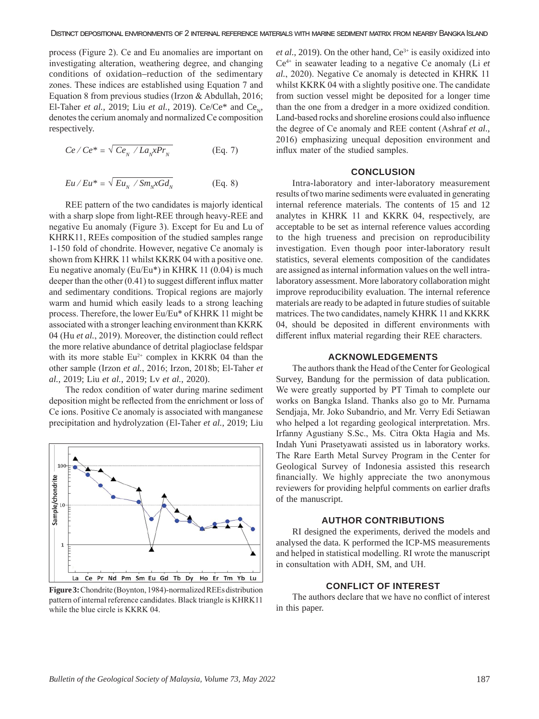process (Figure 2). Ce and Eu anomalies are important on investigating alteration, weathering degree, and changing conditions of oxidation–reduction of the sedimentary zones. These indices are established using Equation 7 and Equation 8 from previous studies (Irzon & Abdullah, 2016; El-Taher *et al.*, 2019; Liu *et al.*, 2019). Ce/Ce\* and Ce<sub>N</sub>, denotes the cerium anomaly and normalized Ce composition respectively.

$$
Ce/Ce^* = \sqrt{Ce_{N}/La_{N}xPr_{N}}
$$
 (Eq. 7)

$$
Eu/Eu^* = \sqrt{Eu_N / Sm_NxGd_N}
$$
 (Eq. 8)

REE pattern of the two candidates is majorly identical with a sharp slope from light-REE through heavy-REE and negative Eu anomaly (Figure 3). Except for Eu and Lu of KHRK11, REEs composition of the studied samples range 1-150 fold of chondrite. However, negative Ce anomaly is shown from KHRK 11 whilst KKRK 04 with a positive one. Eu negative anomaly (Eu/Eu\*) in KHRK 11 (0.04) is much deeper than the other (0.41) to suggest different influx matter and sedimentary conditions. Tropical regions are majorly warm and humid which easily leads to a strong leaching process. Therefore, the lower Eu/Eu\* of KHRK 11 might be associated with a stronger leaching environment than KKRK 04 (Hu *et al.*, 2019). Moreover, the distinction could reflect the more relative abundance of detrital plagioclase feldspar with its more stable  $Eu^{2+}$  complex in KKRK 04 than the other sample (Irzon *et al.*, 2016; Irzon, 2018b; El-Taher *et al.*, 2019; Liu *et al.*, 2019; Lv *et al.*, 2020).

The redox condition of water during marine sediment deposition might be reflected from the enrichment or loss of Ce ions. Positive Ce anomaly is associated with manganese precipitation and hydrolyzation (El-Taher *et al.*, 2019; Liu



**Figure 3:** Chondrite (Boynton, 1984)-normalized REEs distribution pattern of internal reference candidates. Black triangle is KHRK11 while the blue circle is KKRK 04.

*et al.*, 2019). On the other hand,  $Ce^{3+}$  is easily oxidized into Ce4+ in seawater leading to a negative Ce anomaly (Li *et al.*, 2020). Negative Ce anomaly is detected in KHRK 11 whilst KKRK 04 with a slightly positive one. The candidate from suction vessel might be deposited for a longer time than the one from a dredger in a more oxidized condition. Land-based rocks and shoreline erosions could also influence the degree of Ce anomaly and REE content (Ashraf *et al.*, 2016) emphasizing unequal deposition environment and influx mater of the studied samples.

#### **CONCLUSION**

Intra-laboratory and inter-laboratory measurement results of two marine sediments were evaluated in generating internal reference materials. The contents of 15 and 12 analytes in KHRK 11 and KKRK 04, respectively, are acceptable to be set as internal reference values according to the high trueness and precision on reproducibility investigation. Even though poor inter-laboratory result statistics, several elements composition of the candidates are assigned as internal information values on the well intralaboratory assessment. More laboratory collaboration might improve reproducibility evaluation. The internal reference materials are ready to be adapted in future studies of suitable matrices. The two candidates, namely KHRK 11 and KKRK 04, should be deposited in different environments with different influx material regarding their REE characters.

#### **ACKNOWLEDGEMENTS**

The authors thank the Head of the Center for Geological Survey, Bandung for the permission of data publication. We were greatly supported by PT Timah to complete our works on Bangka Island. Thanks also go to Mr. Purnama Sendjaja, Mr. Joko Subandrio, and Mr. Verry Edi Setiawan who helped a lot regarding geological interpretation. Mrs. Irfanny Agustiany S.Sc., Ms. Citra Okta Hagia and Ms. Indah Yuni Prasetyawati assisted us in laboratory works. The Rare Earth Metal Survey Program in the Center for Geological Survey of Indonesia assisted this research financially. We highly appreciate the two anonymous reviewers for providing helpful comments on earlier drafts of the manuscript.

## **AUTHOR CONTRIBUTIONS**

RI designed the experiments, derived the models and analysed the data. K performed the ICP-MS measurements and helped in statistical modelling. RI wrote the manuscript in consultation with ADH, SM, and UH.

## **CONFLICT OF INTEREST**

The authors declare that we have no conflict of interest in this paper.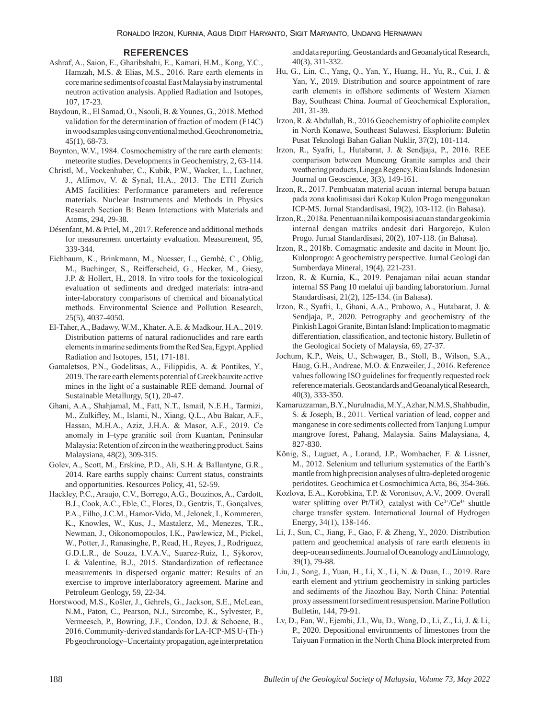#### **REFERENCES**

- Ashraf, A., Saion, E., Gharibshahi, E., Kamari, H.M., Kong, Y.C., Hamzah, M.S. & Elias, M.S., 2016. Rare earth elements in core marine sediments of coastal East Malaysia by instrumental neutron activation analysis. Applied Radiation and Isotopes, 107, 17-23.
- Baydoun, R., El Samad, O., Nsouli, B. & Younes, G., 2018. Method validation for the determination of fraction of modern (F14C) in wood samples using conventional method.Geochronometria, 45(1), 68-73.
- Boynton, W.V., 1984. Cosmochemistry of the rare earth elements: meteorite studies. Developments in Geochemistry, 2, 63-114.
- Christl, M., Vockenhuber, C., Kubik, P.W., Wacker, L., Lachner, J., Alfimov, V. & Synal, H.A., 2013. The ETH Zurich AMS facilities: Performance parameters and reference materials. Nuclear Instruments and Methods in Physics Research Section B: Beam Interactions with Materials and Atoms, 294, 29-38.
- Désenfant, M. & Priel, M., 2017. Reference and additional methods for measurement uncertainty evaluation. Measurement, 95, 339-344.
- Eichbaum, K., Brinkmann, M., Nuesser, L., Gembé, C., Ohlig, M., Buchinger, S., Reifferscheid, G., Hecker, M., Giesy, J.P. & Hollert, H., 2018. In vitro tools for the toxicological evaluation of sediments and dredged materials: intra-and inter-laboratory comparisons of chemical and bioanalytical methods. Environmental Science and Pollution Research, 25(5), 4037-4050.
- El-Taher, A., Badawy, W.M., Khater, A.E. & Madkour, H.A., 2019. Distribution patterns of natural radionuclides and rare earth elements in marine sediments from the Red Sea, Egypt.Applied Radiation and Isotopes, 151, 171-181.
- Gamaletsos, P.N., Godelitsas, A., Filippidis, A. & Pontikes, Y., 2019. The rare earth elements potential of Greek bauxite active mines in the light of a sustainable REE demand. Journal of Sustainable Metallurgy, 5(1), 20-47.
- Ghani, A.A., Shahjamal, M., Fatt, N.T., Ismail, N.E.H., Tarmizi, M., Zulkifley, M., Islami, N., Xiang, Q.L., Abu Bakar, A.F., Hassan, M.H.A., Aziz, J.H.A. & Masor, A.F., 2019. Ce anomaly in I-type granitic soil from Kuantan, Peninsular Malaysia: Retention of zircon in the weathering product. Sains Malaysiana, 48(2), 309-315.
- Golev, A., Scott, M., Erskine, P.D., Ali, S.H. & Ballantyne, G.R., 2014. Rare earths supply chains: Current status, constraints and opportunities. Resources Policy, 41, 52-59.
- Hackley, P.C., Araujo, C.V., Borrego, A.G., Bouzinos, A., Cardott, B.J., Cook, A.C., Eble, C., Flores, D., Gentzis, T., Gonçalves, P.A., Filho, J.C.M., Hamor-Vido, M., Jelonek, I., Kommeren, K., Knowles, W., Kus, J., Mastalerz, M., Menezes, T.R., Newman, J., Oikonomopoulos, I.K., Pawlewicz, M., Pickel, W., Potter, J., Ranasinghe, P., Read, H., Reyes, J., Rodriguez, G.D.L.R., de Souza, I.V.A.V., Suarez-Ruiz, I., Sýkorov, I. & Valentine, B.J., 2015. Standardization of reflectance measurements in dispersed organic matter: Results of an exercise to improve interlaboratory agreement. Marine and Petroleum Geology, 59, 22-34.
- Horstwood, M.S., Košler, J., Gehrels, G., Jackson, S.E., McLean, N.M., Paton, C., Pearson, N.J., Sircombe, K., Sylvester, P., Vermeesch, P., Bowring, J.F., Condon, D.J. & Schoene, B., 2016. Community‐derived standards for LA‐ICP‐MS U‐(Th‐) Pb geochronology–Uncertainty propagation, age interpretation

and data reporting.Geostandards and Geoanalytical Research, 40(3), 311-332.

- Hu, G., Lin, C., Yang, Q., Yan, Y., Huang, H., Yu, R., Cui, J. & Yan, Y., 2019. Distribution and source appointment of rare earth elements in offshore sediments of Western Xiamen Bay, Southeast China. Journal of Geochemical Exploration, 201, 31-39.
- Irzon, R. & Abdullah, B., 2016 Geochemistry of ophiolite complex in North Konawe, Southeast Sulawesi. Eksplorium: Buletin Pusat Teknologi Bahan Galian Nuklir, 37(2), 101-114.
- Irzon, R., Syafri, I., Hutabarat, J. & Sendjaja, P., 2016. REE comparison between Muncung Granite samples and their weathering products, Lingga Regency, Riau Islands. Indonesian Journal on Geoscience, 3(3), 149-161.
- Irzon, R., 2017. Pembuatan material acuan internal berupa batuan pada zona kaolinisasi dari Kokap Kulon Progo menggunakan ICP-MS. Jurnal Standardisasi, 19(2), 103-112. (in Bahasa).
- Irzon, R., 2018a. Penentuan nilai komposisi acuan standar geokimia internal dengan matriks andesit dari Hargorejo, Kulon Progo. Jurnal Standardisasi, 20(2), 107-118. (in Bahasa).
- Irzon, R., 2018b. Comagmatic andesite and dacite in Mount Ijo, Kulonprogo: A geochemistry perspective. Jurnal Geologi dan Sumberdaya Mineral, 19(4), 221-231.
- Irzon, R. & Kurnia, K., 2019. Penajaman nilai acuan standar internal SS Pang 10 melalui uji banding laboratorium. Jurnal Standardisasi, 21(2), 125-134. (in Bahasa).
- Irzon, R., Syafri, I., Ghani, A.A., Prabowo, A., Hutabarat, J. & Sendjaja, P., 2020. Petrography and geochemistry of the Pinkish Lagoi Granite, Bintan Island: Implication to magmatic differentiation, classification, and tectonic history. Bulletin of the Geological Society of Malaysia, 69, 27-37.
- Jochum, K.P., Weis, U., Schwager, B., Stoll, B., Wilson, S.A., Haug, G.H., Andreae, M.O. & Enzweiler, J., 2016. Reference values following ISO guidelines for frequently requested rock reference materials.Geostandards and Geoanalytical Research, 40(3), 333-350.
- Kamaruzzaman, B.Y., Nurulnadia, M.Y., Azhar, N.M.S, Shahbudin, S. & Joseph, B., 2011. Vertical variation of lead, copper and manganese in core sediments collected from Tanjung Lumpur mangrove forest, Pahang, Malaysia. Sains Malaysiana, 4, 827-830.
- König, S., Luguet, A., Lorand, J.P., Wombacher, F. & Lissner, M., 2012. Selenium and tellurium systematics of the Earth's mantle from high precision analyses of ultra-depleted orogenic peridotites. Geochimica et Cosmochimica Acta, 86, 354-366.
- Kozlova, E.A., Korobkina, T.P. & Vorontsov, A.V., 2009. Overall water splitting over  $Pt/TiO_2$  catalyst with  $Ce^{3+}/Ce^{4+}$  shuttle charge transfer system. International Journal of Hydrogen Energy, 34(1), 138-146.
- Li, J., Sun, C., Jiang, F., Gao, F. & Zheng, Y., 2020. Distribution pattern and geochemical analysis of rare earth elements in deep-ocean sediments.Journal of Oceanology and Limnology, 39(1), 79-88.
- Liu, J., Song, J., Yuan, H., Li, X., Li, N. & Duan, L., 2019. Rare earth element and yttrium geochemistry in sinking particles and sediments of the Jiaozhou Bay, North China: Potential proxy assessment for sediment resuspension.Marine Pollution Bulletin, 144, 79-91.
- Lv, D., Fan, W., Ejembi, J.I., Wu, D., Wang, D., Li, Z., Li, J. & Li, P., 2020. Depositional environments of limestones from the Taiyuan Formation in the North China Block interpreted from